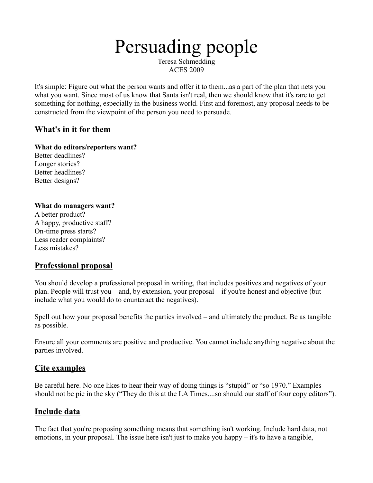# Persuading people

Teresa Schmedding ACES 2009

It's simple: Figure out what the person wants and offer it to them...as a part of the plan that nets you what you want. Since most of us know that Santa isn't real, then we should know that it's rare to get something for nothing, especially in the business world. First and foremost, any proposal needs to be constructed from the viewpoint of the person you need to persuade.

## **What's in it for them**

**What do editors/reporters want?** Better deadlines? Longer stories? Better headlines? Better designs?

#### **What do managers want?**

A better product? A happy, productive staff? On-time press starts? Less reader complaints? Less mistakes?

#### **Professional proposal**

You should develop a professional proposal in writing, that includes positives and negatives of your plan. People will trust you – and, by extension, your proposal – if you're honest and objective (but include what you would do to counteract the negatives).

Spell out how your proposal benefits the parties involved – and ultimately the product. Be as tangible as possible.

Ensure all your comments are positive and productive. You cannot include anything negative about the parties involved.

#### **Cite examples**

Be careful here. No one likes to hear their way of doing things is "stupid" or "so 1970." Examples should not be pie in the sky ("They do this at the LA Times....so should our staff of four copy editors").

## **Include data**

The fact that you're proposing something means that something isn't working. Include hard data, not emotions, in your proposal. The issue here isn't just to make you happy – it's to have a tangible,